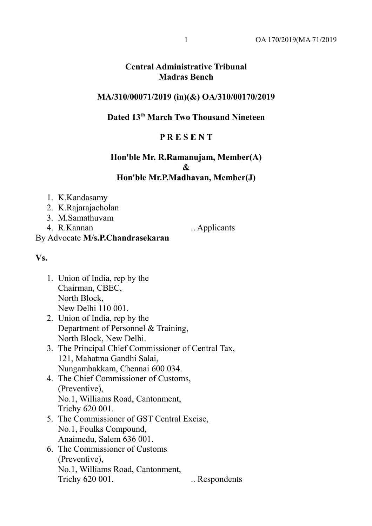## **Central Administrative Tribunal Madras Bench**

#### **MA/310/00071/2019 (in)(&) OA/310/00170/2019**

# **Dated 13th March Two Thousand Nineteen**

### **P R E S E N T**

## **Hon'ble Mr. R.Ramanujam, Member(A) & Hon'ble Mr.P.Madhavan, Member(J)**

- 1. K.Kandasamy
- 2. K.Rajarajacholan
- 3. M.Samathuvam
- 4. R.Kannan ... Applicants

**Vs.**

1. Union of India, rep by the Chairman, CBEC, North Block, New Delhi 110 001.

By Advocate **M/s.P.Chandrasekaran**

- 2. Union of India, rep by the Department of Personnel & Training, North Block, New Delhi.
- 3. The Principal Chief Commissioner of Central Tax, 121, Mahatma Gandhi Salai, Nungambakkam, Chennai 600 034.
- 4. The Chief Commissioner of Customs, (Preventive), No.1, Williams Road, Cantonment, Trichy 620 001.
- 5. The Commissioner of GST Central Excise, No.1, Foulks Compound, Anaimedu, Salem 636 001.
- 6. The Commissioner of Customs (Preventive), No.1, Williams Road, Cantonment, Trichy 620 001. . . Respondents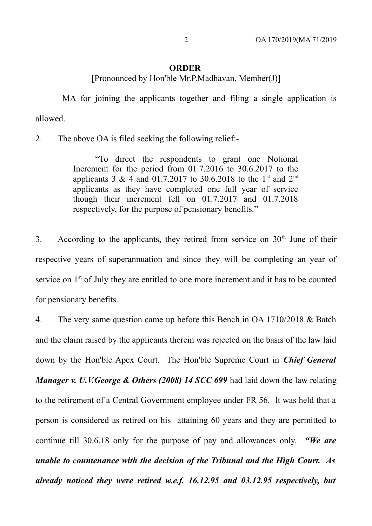#### **ORDER**

[Pronounced by Hon'ble Mr.P.Madhavan, Member(J)]

 MA for joining the applicants together and filing a single application is allowed.

2. The above OA is filed seeking the following relief:-

"To direct the respondents to grant one Notional Increment for the period from 01.7.2016 to 30.6.2017 to the applicants 3 & 4 and 01.7.2017 to 30.6.2018 to the 1<sup>st</sup> and 2<sup>nd</sup> applicants as they have completed one full year of service though their increment fell on 01.7.2017 and 01.7.2018 respectively, for the purpose of pensionary benefits."

3. According to the applicants, they retired from service on  $30<sup>th</sup>$  June of their respective years of superannuation and since they will be completing an year of service on 1<sup>st</sup> of July they are entitled to one more increment and it has to be counted for pensionary benefits.

4. The very same question came up before this Bench in OA 1710/2018 & Batch and the claim raised by the applicants therein was rejected on the basis of the law laid down by the Hon'ble Apex Court. The Hon'ble Supreme Court in *Chief General Manager v. U.V.George & Others (2008) 14 SCC 699* had laid down the law relating to the retirement of a Central Government employee under FR 56. It was held that a person is considered as retired on his attaining 60 years and they are permitted to continue till 30.6.18 only for the purpose of pay and allowances only. *"We are unable to countenance with the decision of the Tribunal and the High Court. As already noticed they were retired w.e.f. 16.12.95 and 03.12.95 respectively, but*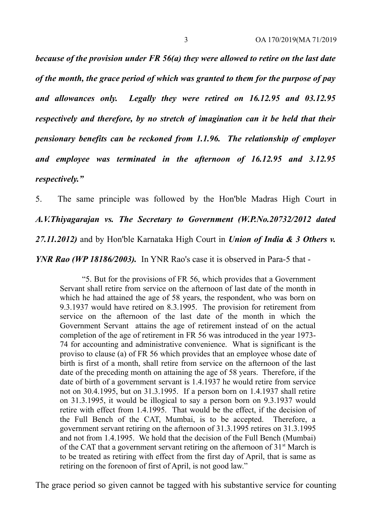*because of the provision under FR 56(a) they were allowed to retire on the last date of the month, the grace period of which was granted to them for the purpose of pay and allowances only. Legally they were retired on 16.12.95 and 03.12.95 respectively and therefore, by no stretch of imagination can it be held that their pensionary benefits can be reckoned from 1.1.96. The relationship of employer and employee was terminated in the afternoon of 16.12.95 and 3.12.95 respectively."* 

5. The same principle was followed by the Hon'ble Madras High Court in *A.V.Thiyagarajan vs. The Secretary to Government (W.P.No.20732/2012 dated 27.11.2012)* and by Hon'ble Karnataka High Court in *Union of India & 3 Others v. YNR Rao (WP 18186/2003).* In YNR Rao's case it is observed in Para-5 that -

"5. But for the provisions of FR 56, which provides that a Government Servant shall retire from service on the afternoon of last date of the month in which he had attained the age of 58 years, the respondent, who was born on 9.3.1937 would have retired on 8.3.1995. The provision for retirement from service on the afternoon of the last date of the month in which the Government Servant attains the age of retirement instead of on the actual completion of the age of retirement in FR 56 was introduced in the year 1973- 74 for accounting and administrative convenience. What is significant is the proviso to clause (a) of FR 56 which provides that an employee whose date of birth is first of a month, shall retire from service on the afternoon of the last date of the preceding month on attaining the age of 58 years. Therefore, if the date of birth of a government servant is 1.4.1937 he would retire from service not on 30.4.1995, but on 31.3.1995. If a person born on 1.4.1937 shall retire on 31.3.1995, it would be illogical to say a person born on 9.3.1937 would retire with effect from 1.4.1995. That would be the effect, if the decision of the Full Bench of the CAT, Mumbai, is to be accepted. Therefore, a government servant retiring on the afternoon of 31.3.1995 retires on 31.3.1995 and not from 1.4.1995. We hold that the decision of the Full Bench (Mumbai) of the CAT that a government servant retiring on the afternoon of  $31<sup>st</sup>$  March is to be treated as retiring with effect from the first day of April, that is same as retiring on the forenoon of first of April, is not good law."

The grace period so given cannot be tagged with his substantive service for counting